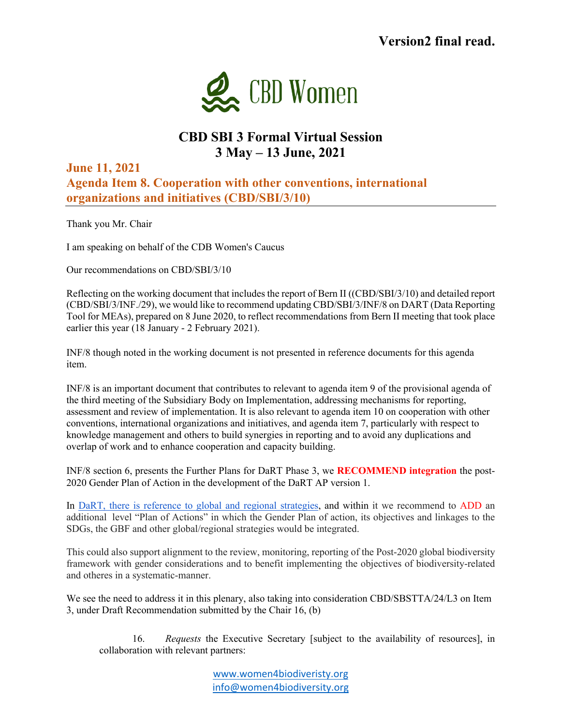

## **CBD SBI 3 Formal Virtual Session 3 May – 13 June, 2021**

**June 11, 2021 Agenda Item 8. Cooperation with other conventions, international organizations and initiatives (CBD/SBI/3/10)**

Thank you Mr. Chair

I am speaking on behalf of the CDB Women's Caucus

Our recommendations on CBD/SBI/3/10

Reflecting on the working document that includes the report of Bern II ((CBD/SBI/3/10) and detailed report (CBD/SBI/3/INF./29), we would like to recommend updating CBD/SBI/3/INF/8 on DART (Data Reporting Tool for MEAs), prepared on 8 June 2020, to reflect recommendations from Bern II meeting that took place earlier this year (18 January - 2 February 2021).

INF/8 though noted in the working document is not presented in reference documents for this agenda item.

INF/8 is an important document that contributes to relevant to agenda item 9 of the provisional agenda of the third meeting of the Subsidiary Body on Implementation, addressing mechanisms for reporting, assessment and review of implementation. It is also relevant to agenda item 10 on cooperation with other conventions, international organizations and initiatives, and agenda item 7, particularly with respect to knowledge management and others to build synergies in reporting and to avoid any duplications and overlap of work and to enhance cooperation and capacity building.

INF/8 section 6, presents the Further Plans for DaRT Phase 3, we **RECOMMEND integration** the post-2020 Gender Plan of Action in the development of the DaRT AP version 1.

In DaRT, there is reference to global and regional strategies, and within it we recommend to ADD an additional level "Plan of Actions" in which the Gender Plan of action, its objectives and linkages to the SDGs, the GBF and other global/regional strategies would be integrated.

This could also support alignment to the review, monitoring, reporting of the Post-2020 global biodiversity framework with gender considerations and to benefit implementing the objectives of biodiversity-related and otheres in a systematic-manner.

We see the need to address it in this plenary, also taking into consideration CBD/SBSTTA/24/L3 on Item 3, under Draft Recommendation submitted by the Chair 16, (b)

16. *Requests* the Executive Secretary [subject to the availability of resources], in collaboration with relevant partners:

> www.women4biodiveristy.org info@women4biodiversity.org